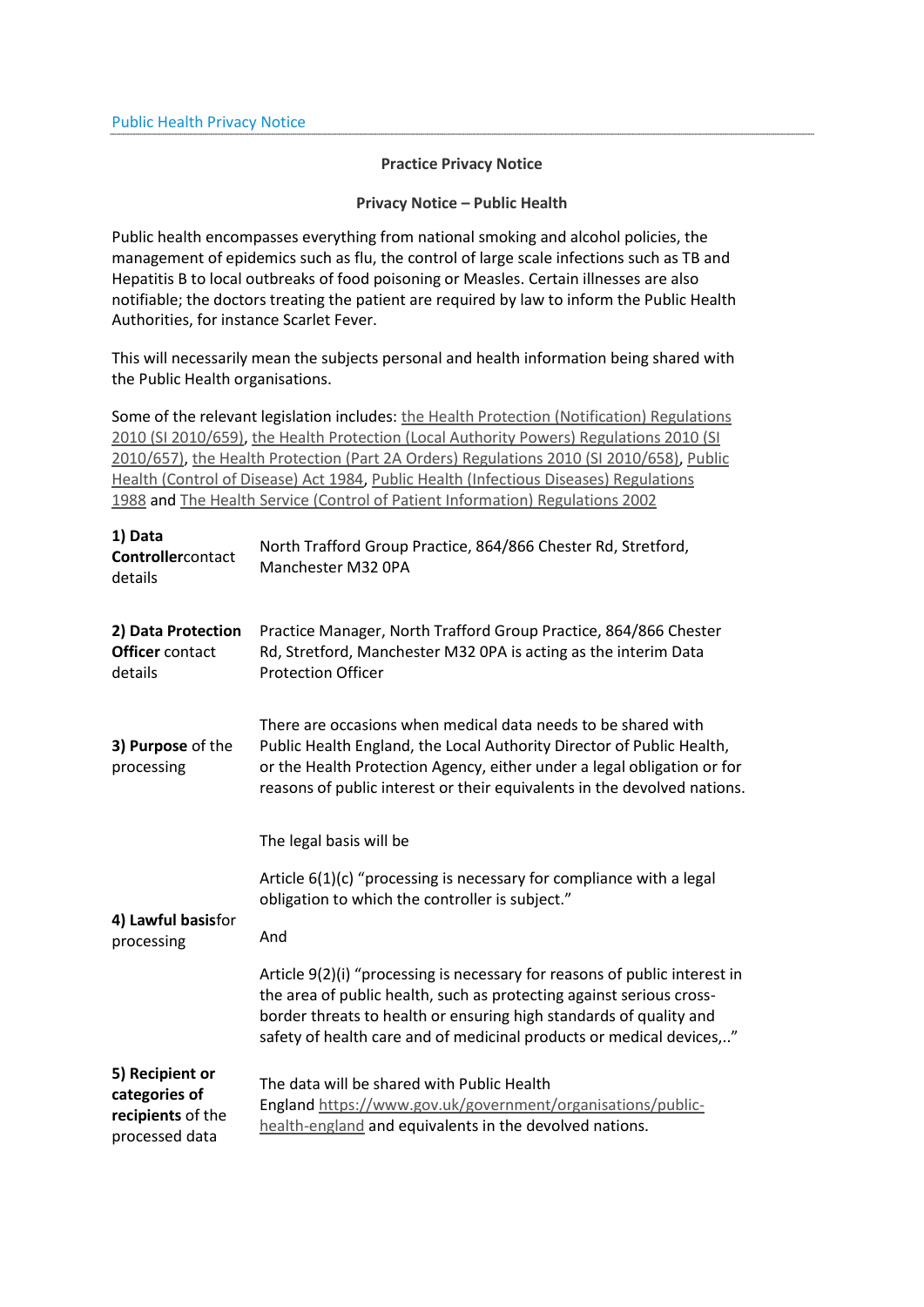## **Practice Privacy Notice**

## **Privacy Notice – Public Health**

Public health encompasses everything from national smoking and alcohol policies, the management of epidemics such as flu, the control of large scale infections such as TB and Hepatitis B to local outbreaks of food poisoning or Measles. Certain illnesses are also notifiable; the doctors treating the patient are required by law to inform the Public Health Authorities, for instance Scarlet Fever.

This will necessarily mean the subjects personal and health information being shared with the Public Health organisations.

Some of the relevant legislation includes: the Health Protection (Notification) Regulations [2010 \(SI 2010/659\),](http://www.legislation.gov.uk/uksi/2010/659/contents/made) [the Health Protection \(Local Authority Powers\) Regulations 2010 \(SI](http://www.legislation.gov.uk/uksi/2010/657/contents/made)  [2010/657\),](http://www.legislation.gov.uk/uksi/2010/657/contents/made) [the Health Protection \(Part 2A Orders\) Regulations 2010 \(SI 2010/658\),](http://www.legislation.gov.uk/uksi/2010/658/contents/made) [Public](https://www.legislation.gov.uk/ukpga/1984/22)  [Health \(Control of Disease\) Act 1984,](https://www.legislation.gov.uk/ukpga/1984/22) [Public Health \(Infectious Diseases\) Regulations](http://www.legislation.gov.uk/uksi/1988/1546/contents/made)  [1988](http://www.legislation.gov.uk/uksi/1988/1546/contents/made) and [The Health Service \(Control of Patient Information\) Regulations 2002](http://www.legislation.gov.uk/uksi/2002/1438/regulation/3/made)

| 1) Data<br>Controllercontact<br>details                                 | North Trafford Group Practice, 864/866 Chester Rd, Stretford,<br>Manchester M32 OPA                                                                                                                                                                                                              |
|-------------------------------------------------------------------------|--------------------------------------------------------------------------------------------------------------------------------------------------------------------------------------------------------------------------------------------------------------------------------------------------|
| 2) Data Protection<br><b>Officer</b> contact<br>details                 | Practice Manager, North Trafford Group Practice, 864/866 Chester<br>Rd, Stretford, Manchester M32 0PA is acting as the interim Data<br><b>Protection Officer</b>                                                                                                                                 |
| 3) Purpose of the<br>processing                                         | There are occasions when medical data needs to be shared with<br>Public Health England, the Local Authority Director of Public Health,<br>or the Health Protection Agency, either under a legal obligation or for<br>reasons of public interest or their equivalents in the devolved nations.    |
| 4) Lawful basisfor<br>processing                                        | The legal basis will be                                                                                                                                                                                                                                                                          |
|                                                                         | Article $6(1)(c)$ "processing is necessary for compliance with a legal<br>obligation to which the controller is subject."                                                                                                                                                                        |
|                                                                         | And                                                                                                                                                                                                                                                                                              |
|                                                                         | Article 9(2)(i) "processing is necessary for reasons of public interest in<br>the area of public health, such as protecting against serious cross-<br>border threats to health or ensuring high standards of quality and<br>safety of health care and of medicinal products or medical devices," |
| 5) Recipient or<br>categories of<br>recipients of the<br>processed data | The data will be shared with Public Health<br>England https://www.gov.uk/government/organisations/public-<br>health-england and equivalents in the devolved nations.                                                                                                                             |